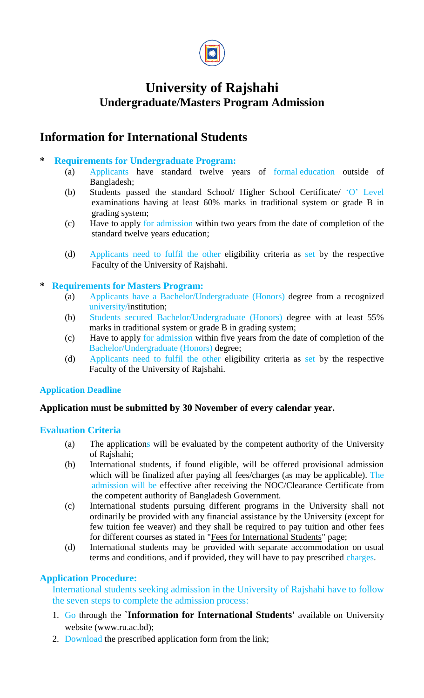

## **University of Rajshahi Undergraduate/Masters Program Admission**

## **Information for International Students**

### **\* Requirements for Undergraduate Program:**

- (a) Applicants have standard twelve years of formal education outside of Bangladesh;
- (b) Students passed the standard School/ Higher School Certificate/ 'O' Level examinations having at least 60% marks in traditional system or grade B in grading system;
- (c) Have to apply for admission within two years from the date of completion of the standard twelve years education;
- (d) Applicants need to fulfil the other eligibility criteria as set by the respective Faculty of the University of Rajshahi.

### **\* Requirements for Masters Program:**

- (a) Applicants have a Bachelor/Undergraduate (Honors) degree from a recognized university/institution;
- (b) Students secured Bachelor/Undergraduate (Honors) degree with at least 55% marks in traditional system or grade B in grading system;
- (c) Have to apply for admission within five years from the date of completion of the Bachelor/Undergraduate (Honors) degree;
- (d) Applicants need to fulfil the other eligibility criteria as set by the respective Faculty of the University of Rajshahi.

#### **Application Deadline**

#### **Application must be submitted by 30 November of every calendar year.**

### **Evaluation Criteria**

- (a) The applications will be evaluated by the competent authority of the University of Rajshahi;
- (b) International students, if found eligible, will be offered provisional admission which will be finalized after paying all fees/charges (as may be applicable). The admission will be effective after receiving the NOC/Clearance Certificate from the competent authority of Bangladesh Government.
- (c) International students pursuing different programs in the University shall not ordinarily be provided with any financial assistance by the University (except for few tuition fee weaver) and they shall be required to pay tuition and other fees for different courses as stated in "Fees for International Students" page;
- (d) International students may be provided with separate accommodation on usual terms and conditions, and if provided, they will have to pay prescribed charges.

### **Application Procedure:**

International students seeking admission in the University of Rajshahi have to follow the seven steps to complete the admission process:

- 1. Go through the **`Information for International Students'** available on University website (www.ru.ac.bd);
- 2. Download the prescribed application form from the link;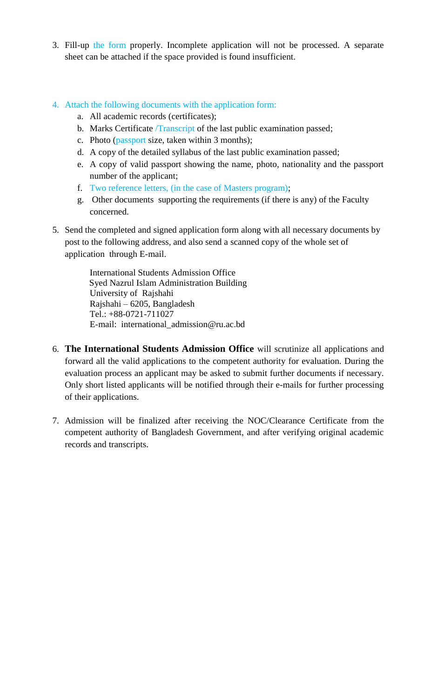3. Fill-up the form properly. Incomplete application will not be processed. A separate sheet can be attached if the space provided is found insufficient.

### 4. Attach the following documents with the application form:

- a. All academic records (certificates);
- b. Marks Certificate /Transcript of the last public examination passed;
- c. Photo (passport size, taken within 3 months);
- d. A copy of the detailed syllabus of the last public examination passed;
- e. A copy of valid passport showing the name, photo, nationality and the passport number of the applicant;
- f. Two reference letters, (in the case of Masters program);
- g. Other documents supporting the requirements (if there is any) of the Faculty concerned.
- 5. Send the completed and signed application form along with all necessary documents by post to the following address, and also send a scanned copy of the whole set of application through E-mail.

International Students Admission Office Syed Nazrul Islam Administration Building University of Rajshahi Rajshahi – 6205, Bangladesh Tel.: +88-0721-711027 E-mail: international\_admission@ru.ac.bd

- 6. **The International Students Admission Office** will scrutinize all applications and forward all the valid applications to the competent authority for evaluation. During the evaluation process an applicant may be asked to submit further documents if necessary. Only short listed applicants will be notified through their e-mails for further processing of their applications.
- 7. Admission will be finalized after receiving the NOC/Clearance Certificate from the competent authority of Bangladesh Government, and after verifying original academic records and transcripts.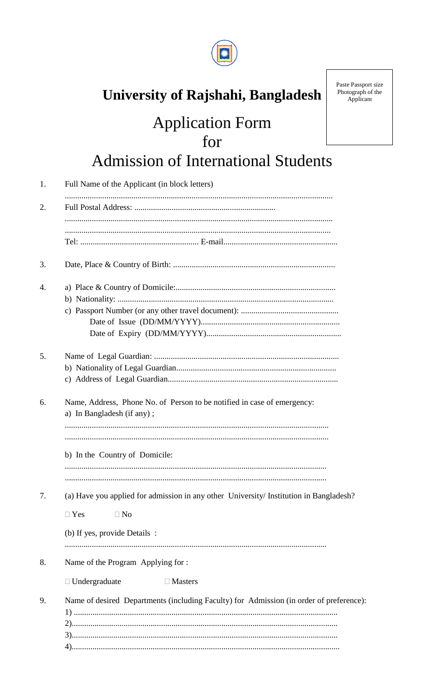

# University of Rajshahi, Bangladesh

# **Application Form** for **Admission of International Students**

| 1. | Full Name of the Applicant (in block letters)                                                                                                      |
|----|----------------------------------------------------------------------------------------------------------------------------------------------------|
| 2. |                                                                                                                                                    |
|    |                                                                                                                                                    |
| 3. |                                                                                                                                                    |
| 4. |                                                                                                                                                    |
| 5. |                                                                                                                                                    |
| 6. | Name, Address, Phone No. of Person to be notified in case of emergency:<br>a) In Bangladesh (if any);                                              |
|    | b) In the Country of Domicile:                                                                                                                     |
| 7. | (a) Have you applied for admission in any other University/ Institution in Bangladesh?<br>$\Box$ Yes<br>$\Box$ No<br>(b) If yes, provide Details : |
| 8. | Name of the Program Applying for:                                                                                                                  |
| 9. | $\Box$ Undergraduate<br>$\Box$ Masters<br>Name of desired Departments (including Faculty) for Admission (in order of preference):                  |

Paste Passport size<br>Photograph of the Applicant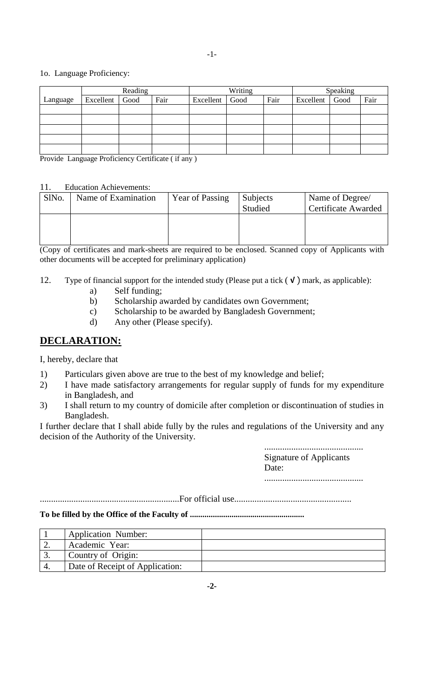#### -1-

#### 1o. Language Proficiency:

|          |                | Reading |      |           | Writing |      |                | Speaking |      |
|----------|----------------|---------|------|-----------|---------|------|----------------|----------|------|
| Language | Excellent Good |         | Fair | Excellent | Good    | Fair | Excellent Good |          | Fair |
|          |                |         |      |           |         |      |                |          |      |
|          |                |         |      |           |         |      |                |          |      |
|          |                |         |      |           |         |      |                |          |      |
|          |                |         |      |           |         |      |                |          |      |
|          |                |         |      |           |         |      |                |          |      |

Provide Language Proficiency Certificate ( if any )

#### 11. Education Achievements:

| SlNo. | Name of Examination | <b>Year of Passing</b> | <b>Subjects</b><br>Studied | Name of Degree/<br><b>Certificate Awarded</b> |
|-------|---------------------|------------------------|----------------------------|-----------------------------------------------|
|       |                     |                        |                            |                                               |

(Copy of certificates and mark-sheets are required to be enclosed. Scanned copy of Applicants with other documents will be accepted for preliminary application)

- 12. Type of financial support for the intended study (Please put a tick ( **√** ) mark, as applicable):
	- a) Self funding;
	- b) Scholarship awarded by candidates own Government;
	- c) Scholarship to be awarded by Bangladesh Government;
	- d) Any other (Please specify).

### **DECLARATION:**

I, hereby, declare that

- 1) Particulars given above are true to the best of my knowledge and belief;
- 2) I have made satisfactory arrangements for regular supply of funds for my expenditure in Bangladesh, and
- 3) I shall return to my country of domicile after completion or discontinuation of studies in Bangladesh.

I further declare that I shall abide fully by the rules and regulations of the University and any decision of the Authority of the University.

> ............................................ Signature of Applicants Date: ............................................

..............................................................For official use....................................................

**To be filled by the Office of the Faculty of .......................................................**

| <b>Application Number:</b>      |  |
|---------------------------------|--|
| Academic Year:                  |  |
| Country of Origin:              |  |
| Date of Receipt of Application: |  |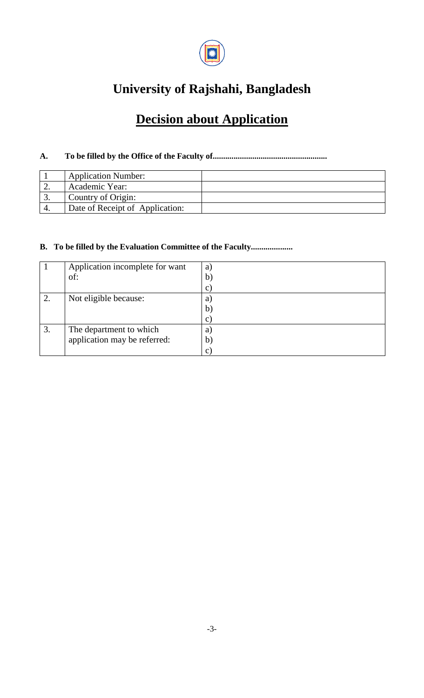

## **University of Rajshahi, Bangladesh**

## **Decision about Application**

### **A. To be filled by the Office of the Faculty of.......................................................**

|    | <b>Application Number:</b>      |  |
|----|---------------------------------|--|
|    | Academic Year:                  |  |
| J. | Country of Origin:              |  |
|    | Date of Receipt of Application: |  |

#### **B. To be filled by the Evaluation Committee of the Faculty....................**

|    | Application incomplete for want | a)             |
|----|---------------------------------|----------------|
|    | of:                             | b)             |
|    |                                 | $\mathbf{C}$ ) |
| ⌒  | Not eligible because:           | a)             |
|    |                                 | $\mathbf{b}$   |
|    |                                 | $\mathbf{C}$   |
| 3. | The department to which         | a)             |
|    | application may be referred:    | $\mathbf{b}$   |
|    |                                 | $\mathbf{C}$   |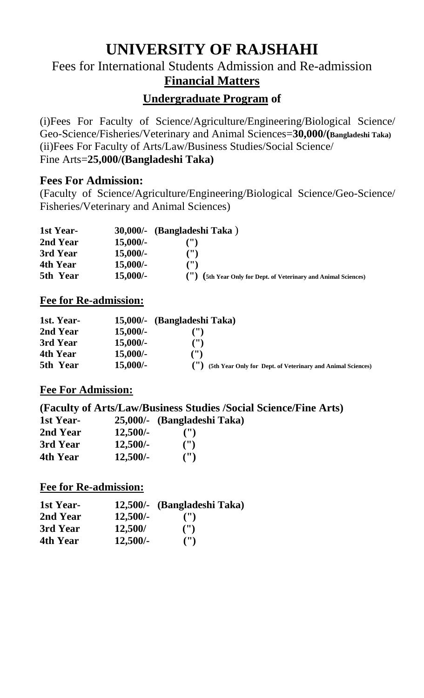# **UNIVERSITY OF RAJSHAHI**

## Fees for International Students Admission and Re-admission **Financial Matters**

## **Undergraduate Program of**

(i)Fees For Faculty of Science/Agriculture/Engineering/Biological Science/ Geo-Science/Fisheries/Veterinary and Animal Sciences=**30,000/(Bangladeshi Taka)** (ii)Fees For Faculty of Arts/Law/Business Studies/Social Science/ Fine Arts=**25,000/(Bangladeshi Taka)**

## **Fees For Admission:**

(Faculty of Science/Agriculture/Engineering/Biological Science/Geo-Science/ Fisheries/Veterinary and Animal Sciences)

| 1st Year- |            | 30,000/- (Bangladeshi Taka)                                              |
|-----------|------------|--------------------------------------------------------------------------|
| 2nd Year  | $15,000/-$ |                                                                          |
| 3rd Year  | $15,000/-$ | $($ ")                                                                   |
| 4th Year  | $15,000/-$ | $($ ")                                                                   |
| 5th Year  | $15,000/-$ | (5th Year Only for Dept. of Veterinary and Animal Sciences)<br>$(\cdot)$ |

### **Fee for Re-admission:**

| 1st. Year- | $15,000/$ - | (Bangladeshi Taka)                                          |
|------------|-------------|-------------------------------------------------------------|
| 2nd Year   | $15,000/-$  |                                                             |
| 3rd Year   | $15,000/-$  | $^{\prime\prime}$                                           |
| 4th Year   | $15,000/-$  | $($ ")                                                      |
| 5th Year   | $15,000/-$  | (5th Year Only for Dept. of Veterinary and Animal Sciences) |

### **Fee For Admission:**

**(Faculty of Arts/Law/Business Studies /Social Science/Fine Arts) 1st Year- 25,000/- (Bangladeshi Taka)**

|            | $\omega$ , $000 - 10$ aligiauc |
|------------|--------------------------------|
| $12,500/-$ | $($ ")                         |
| $12,500/-$ | $($ ")                         |
| $12,500/-$ | $($ ")                         |
|            |                                |

### **Fee for Re-admission:**

| 1st Year- |            | 12,500/- (Bangladeshi Taka) |
|-----------|------------|-----------------------------|
| 2nd Year  | $12,500/-$ | $($ ")                      |
| 3rd Year  | 12,500/    | $($ ")                      |
| 4th Year  | $12,500/-$ | $($ ")                      |